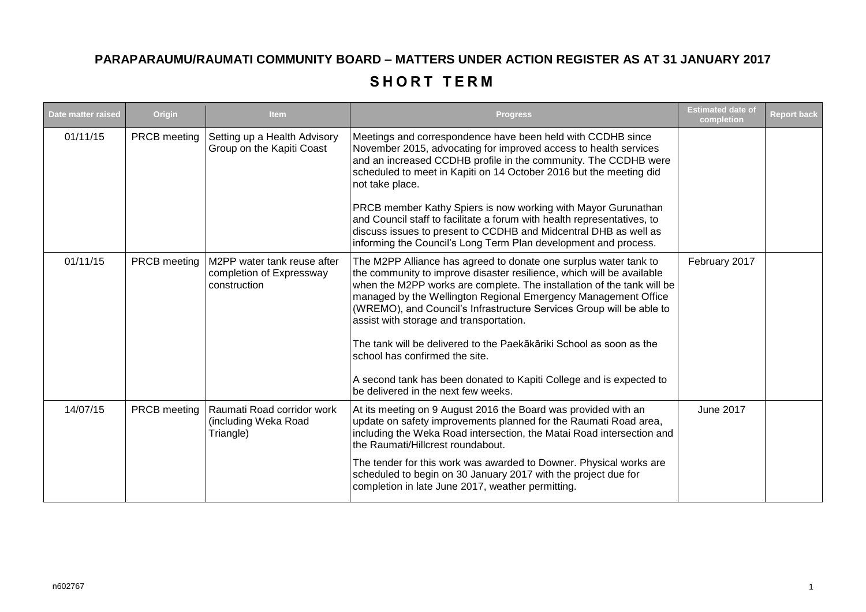## **PARAPARAUMU/RAUMATI COMMUNITY BOARD – MATTERS UNDER ACTION REGISTER AS AT 31 JANUARY 2017**

## **SHORT TERM**

| Date matter raised | Origin       | <b>Item</b>                                                             | <b>Progress</b>                                                                                                                                                                                                                                                                                                                                                                                                                                                                                                                                                                                                                 | <b>Estimated date of</b><br>completion | <b>Report back</b> |
|--------------------|--------------|-------------------------------------------------------------------------|---------------------------------------------------------------------------------------------------------------------------------------------------------------------------------------------------------------------------------------------------------------------------------------------------------------------------------------------------------------------------------------------------------------------------------------------------------------------------------------------------------------------------------------------------------------------------------------------------------------------------------|----------------------------------------|--------------------|
| 01/11/15           | PRCB meeting | Setting up a Health Advisory<br>Group on the Kapiti Coast               | Meetings and correspondence have been held with CCDHB since<br>November 2015, advocating for improved access to health services<br>and an increased CCDHB profile in the community. The CCDHB were<br>scheduled to meet in Kapiti on 14 October 2016 but the meeting did<br>not take place.<br>PRCB member Kathy Spiers is now working with Mayor Gurunathan<br>and Council staff to facilitate a forum with health representatives, to<br>discuss issues to present to CCDHB and Midcentral DHB as well as<br>informing the Council's Long Term Plan development and process.                                                  |                                        |                    |
| 01/11/15           | PRCB meeting | M2PP water tank reuse after<br>completion of Expressway<br>construction | The M2PP Alliance has agreed to donate one surplus water tank to<br>the community to improve disaster resilience, which will be available<br>when the M2PP works are complete. The installation of the tank will be<br>managed by the Wellington Regional Emergency Management Office<br>(WREMO), and Council's Infrastructure Services Group will be able to<br>assist with storage and transportation.<br>The tank will be delivered to the Paekākāriki School as soon as the<br>school has confirmed the site.<br>A second tank has been donated to Kapiti College and is expected to<br>be delivered in the next few weeks. | February 2017                          |                    |
| 14/07/15           | PRCB meeting | Raumati Road corridor work<br>(including Weka Road<br>Triangle)         | At its meeting on 9 August 2016 the Board was provided with an<br>update on safety improvements planned for the Raumati Road area,<br>including the Weka Road intersection, the Matai Road intersection and<br>the Raumati/Hillcrest roundabout.<br>The tender for this work was awarded to Downer. Physical works are<br>scheduled to begin on 30 January 2017 with the project due for<br>completion in late June 2017, weather permitting.                                                                                                                                                                                   | <b>June 2017</b>                       |                    |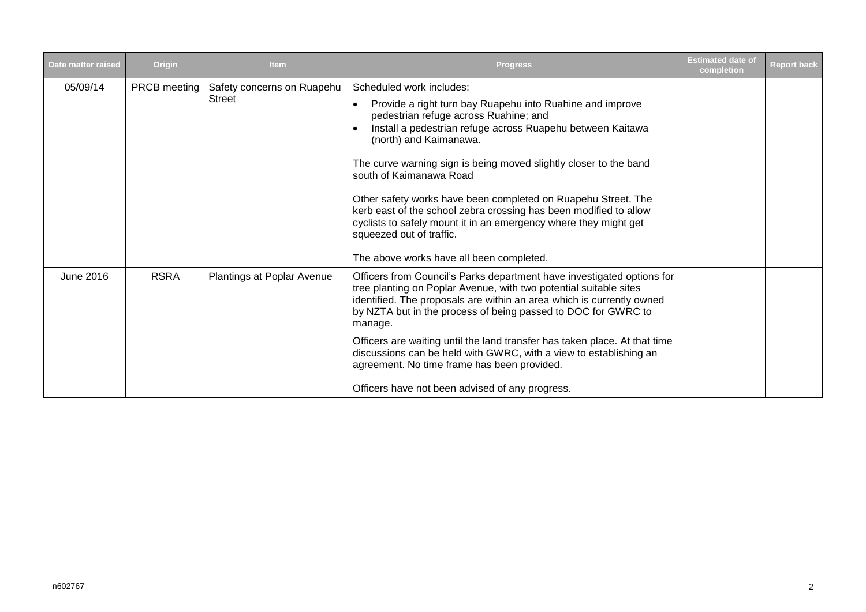| Date matter raised | Origin              | <b>Item</b>                                 | <b>Progress</b>                                                                                                                                                                                                                                                                                                                                                                                                                                                                                                                                                                                          | <b>Estimated date of</b><br>completion | <b>Report back</b> |
|--------------------|---------------------|---------------------------------------------|----------------------------------------------------------------------------------------------------------------------------------------------------------------------------------------------------------------------------------------------------------------------------------------------------------------------------------------------------------------------------------------------------------------------------------------------------------------------------------------------------------------------------------------------------------------------------------------------------------|----------------------------------------|--------------------|
| 05/09/14           | <b>PRCB</b> meeting | Safety concerns on Ruapehu<br><b>Street</b> | Scheduled work includes:<br>Provide a right turn bay Ruapehu into Ruahine and improve<br>pedestrian refuge across Ruahine; and<br>Install a pedestrian refuge across Ruapehu between Kaitawa<br>(north) and Kaimanawa.<br>The curve warning sign is being moved slightly closer to the band<br>south of Kaimanawa Road<br>Other safety works have been completed on Ruapehu Street. The<br>kerb east of the school zebra crossing has been modified to allow<br>cyclists to safely mount it in an emergency where they might get<br>squeezed out of traffic.<br>The above works have all been completed. |                                        |                    |
| June 2016          | <b>RSRA</b>         | Plantings at Poplar Avenue                  | Officers from Council's Parks department have investigated options for<br>tree planting on Poplar Avenue, with two potential suitable sites<br>identified. The proposals are within an area which is currently owned<br>by NZTA but in the process of being passed to DOC for GWRC to<br>manage.<br>Officers are waiting until the land transfer has taken place. At that time<br>discussions can be held with GWRC, with a view to establishing an<br>agreement. No time frame has been provided.<br>Officers have not been advised of any progress.                                                    |                                        |                    |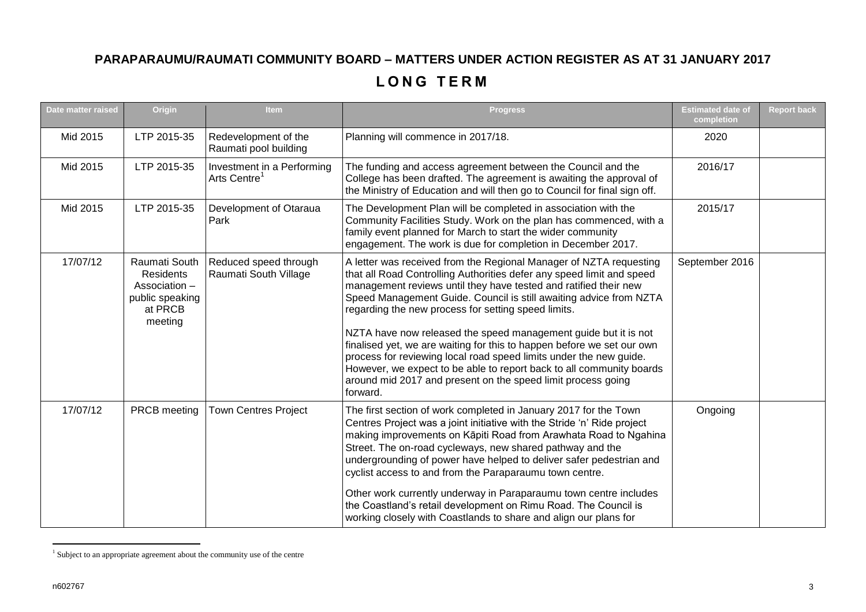## **PARAPARAUMU/RAUMATI COMMUNITY BOARD – MATTERS UNDER ACTION REGISTER AS AT 31 JANUARY 2017**

## **L O N G T E R M**

| Date matter raised | Origin                                                                               | Item                                                   | <b>Progress</b>                                                                                                                                                                                                                                                                                                                                                                                                                                                                                                                                                                                                                                                                                                     | <b>Estimated date of</b><br>completion | <b>Report back</b> |
|--------------------|--------------------------------------------------------------------------------------|--------------------------------------------------------|---------------------------------------------------------------------------------------------------------------------------------------------------------------------------------------------------------------------------------------------------------------------------------------------------------------------------------------------------------------------------------------------------------------------------------------------------------------------------------------------------------------------------------------------------------------------------------------------------------------------------------------------------------------------------------------------------------------------|----------------------------------------|--------------------|
| Mid 2015           | LTP 2015-35                                                                          | Redevelopment of the<br>Raumati pool building          | Planning will commence in 2017/18.                                                                                                                                                                                                                                                                                                                                                                                                                                                                                                                                                                                                                                                                                  | 2020                                   |                    |
| Mid 2015           | LTP 2015-35                                                                          | Investment in a Performing<br>Arts Centre <sup>1</sup> | The funding and access agreement between the Council and the<br>College has been drafted. The agreement is awaiting the approval of<br>the Ministry of Education and will then go to Council for final sign off.                                                                                                                                                                                                                                                                                                                                                                                                                                                                                                    | 2016/17                                |                    |
| Mid 2015           | LTP 2015-35                                                                          | Development of Otaraua<br>Park                         | The Development Plan will be completed in association with the<br>Community Facilities Study. Work on the plan has commenced, with a<br>family event planned for March to start the wider community<br>engagement. The work is due for completion in December 2017.                                                                                                                                                                                                                                                                                                                                                                                                                                                 | 2015/17                                |                    |
| 17/07/12           | Raumati South<br>Residents<br>Association -<br>public speaking<br>at PRCB<br>meeting | Reduced speed through<br>Raumati South Village         | A letter was received from the Regional Manager of NZTA requesting<br>that all Road Controlling Authorities defer any speed limit and speed<br>management reviews until they have tested and ratified their new<br>Speed Management Guide. Council is still awaiting advice from NZTA<br>regarding the new process for setting speed limits.<br>NZTA have now released the speed management guide but it is not<br>finalised yet, we are waiting for this to happen before we set our own<br>process for reviewing local road speed limits under the new guide.<br>However, we expect to be able to report back to all community boards<br>around mid 2017 and present on the speed limit process going<br>forward. | September 2016                         |                    |
| 17/07/12           | PRCB meeting                                                                         | <b>Town Centres Project</b>                            | The first section of work completed in January 2017 for the Town<br>Centres Project was a joint initiative with the Stride 'n' Ride project<br>making improvements on Kāpiti Road from Arawhata Road to Ngahina<br>Street. The on-road cycleways, new shared pathway and the<br>undergrounding of power have helped to deliver safer pedestrian and<br>cyclist access to and from the Paraparaumu town centre.<br>Other work currently underway in Paraparaumu town centre includes<br>the Coastland's retail development on Rimu Road. The Council is<br>working closely with Coastlands to share and align our plans for                                                                                          | Ongoing                                |                    |

 1 Subject to an appropriate agreement about the community use of the centre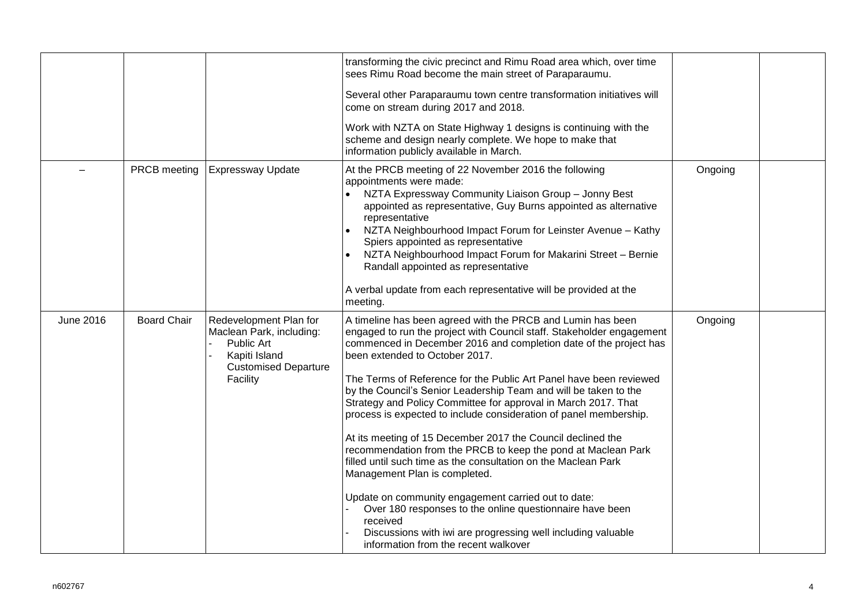|                  |                    |                                                                                                                              | transforming the civic precinct and Rimu Road area which, over time<br>sees Rimu Road become the main street of Paraparaumu.<br>Several other Paraparaumu town centre transformation initiatives will<br>come on stream during 2017 and 2018.<br>Work with NZTA on State Highway 1 designs is continuing with the<br>scheme and design nearly complete. We hope to make that<br>information publicly available in March.                                                                                                                                                                                                                                                                                                                                                                                                                                                                                                                                                                               |         |  |
|------------------|--------------------|------------------------------------------------------------------------------------------------------------------------------|--------------------------------------------------------------------------------------------------------------------------------------------------------------------------------------------------------------------------------------------------------------------------------------------------------------------------------------------------------------------------------------------------------------------------------------------------------------------------------------------------------------------------------------------------------------------------------------------------------------------------------------------------------------------------------------------------------------------------------------------------------------------------------------------------------------------------------------------------------------------------------------------------------------------------------------------------------------------------------------------------------|---------|--|
|                  | PRCB meeting       | <b>Expressway Update</b>                                                                                                     | At the PRCB meeting of 22 November 2016 the following<br>appointments were made:<br>NZTA Expressway Community Liaison Group - Jonny Best<br>appointed as representative, Guy Burns appointed as alternative<br>representative<br>NZTA Neighbourhood Impact Forum for Leinster Avenue - Kathy<br>Spiers appointed as representative<br>NZTA Neighbourhood Impact Forum for Makarini Street - Bernie<br>Randall appointed as representative<br>A verbal update from each representative will be provided at the<br>meeting.                                                                                                                                                                                                                                                                                                                                                                                                                                                                              | Ongoing |  |
| <b>June 2016</b> | <b>Board Chair</b> | Redevelopment Plan for<br>Maclean Park, including:<br>Public Art<br>Kapiti Island<br><b>Customised Departure</b><br>Facility | A timeline has been agreed with the PRCB and Lumin has been<br>engaged to run the project with Council staff. Stakeholder engagement<br>commenced in December 2016 and completion date of the project has<br>been extended to October 2017.<br>The Terms of Reference for the Public Art Panel have been reviewed<br>by the Council's Senior Leadership Team and will be taken to the<br>Strategy and Policy Committee for approval in March 2017. That<br>process is expected to include consideration of panel membership.<br>At its meeting of 15 December 2017 the Council declined the<br>recommendation from the PRCB to keep the pond at Maclean Park<br>filled until such time as the consultation on the Maclean Park<br>Management Plan is completed.<br>Update on community engagement carried out to date:<br>Over 180 responses to the online questionnaire have been<br>received<br>Discussions with iwi are progressing well including valuable<br>information from the recent walkover | Ongoing |  |